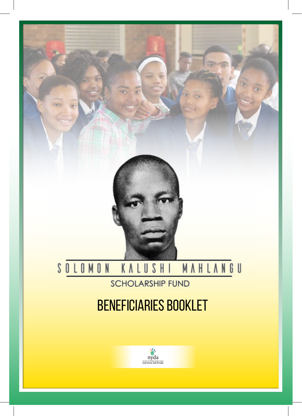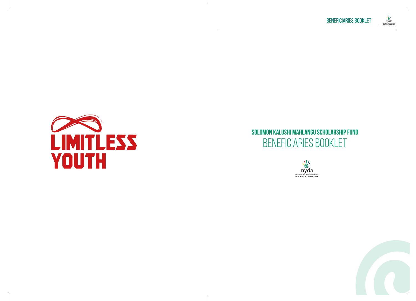



# **Solomon Kalushi Mahlangu Scholarship FUND** Beneficiaries Booklet



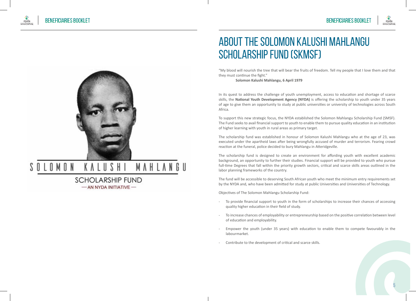

### KALUSHI MAHLANGU SOLOMON

**SCHOLARSHIP FUND** - AN NYDA INITIATIVE-

# About the Solomon Kalushi Mahlangu Scholarship Fund (SKMSF)

"My blood will nourish the tree that will bear the fruits of freedom. Tell my people that I love them and that they must continue the fight."

**Solomon Kalushi Mahlangu, 6 April 1979**

In its quest to address the challenge of youth unemployment, access to education and shortage of scarce skills, the **National Youth Development Agency (NYDA)** is offering the scholarship to youth under 35 years of age to give them an opportunity to study at public universities or university of technologies across South Africa.

To support this new strategic focus, the NYDA established the Solomon Mahlangu Scholarship Fund (SMSF). The Fund seeks to avail financial support to youth to enable them to pursue quality education in an institution of higher learning with youth in rural areas as primary target.

The scholarship fund was established in honour of Solomon Kalushi Mahlangu who at the age of 23, was executed under the apartheid laws after being wrongfully accused of murder and terrorism. Fearing crowd reaction at the funeral, police decided to bury Mahlangu in Atteridgeville.

The scholarship fund is designed to create an environment for affording youth with excellent academic background, an opportunity to further their studies. Financial support will be provided to youth who pursue full-time Degrees that fall within the priority growth sectors, critical and scarce skills areas outlined in the labor planning frameworks of the country.

The fund will be accessible to deserving South African youth who meet the minimum entry requirements set by the NYDA and, who have been admitted for study at public Universities and Universities of Technology.

Objectives of The Solomon Mahlangu Scholarship Fund:

- To provide financial support to youth in the form of scholarships to increase their chances of accessing quality higher education in their field of study.
- To increase chances of employability or entrepreneurship based on the positive correlation between level of education and employability.
- Empower the youth (under 35 years) with education to enable them to compete favourably in the labourmarket.
- Contribute to the development of critical and scarce skills.

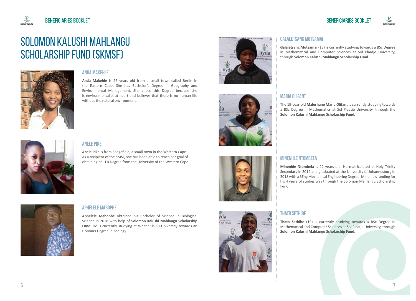

# Solomon Kalushi Mahlangu Scholarship FUND (SKMSF)



 $\frac{v}{c}$ <br>nyda

## **Anda Makehle**

**Anda Makehle** is 22 years old from a small town called Berlin in the Eastern Cape. She has Bachelor's Degree in Geography and Environmental Management. She chose this Degree because she is environmentalist at heart and believes that there is no human life without the natural environment.



# **Anele Pike**

**Anele Pike** is from Sedgefield, a small town in the Western Cape. As a recipient of the SMSF, she has been able to reach her goal of obtaining an LLB Degree from the University of the Western Cape.



# **Galaletsang Motsamai**

**Galaletsang Motsamai** (18) is currently studying towards a BSc Degree in Mathematical and Computer Sciences at Sol Plaatje University, through **Solomon Kalushi Mahlangu Scholarship Fund**.



nv

 $\frac{1}{2}$ nyda

## **Maria Olifant**

The 19-year-old **Maleshane Maria Olifant** is currently studying towards a BSc Degree in Mathematics at Sol Plaatje University, through the **Solomon Kalushi Mahlangu Scholarship Fund**.

## **Minenhle Ntombela**

**Minenhle Ntombela** is 22 years old. He matriculated at Holy Trinity Secondary in 2014 and graduated at the University of Johannesburg in 2018 with a BEng Mechanical Engineering Degree. Minehle's funding for his 4 years of studies was through the Solomon Mahlangu Scholarship Fund.

# **Thato Sethibe**

**Thato Sethibe** (19) is currently studying towards a BSc Degree in Mathematical and Computer Sciences at Sol Plaatje University, through **Solomon Kalushi Mahlangu Scholarship Fund**.

# **Aphelele Mabophe**

**Aphelele Mabophe** obtained his Bachelor of Science in Biological Science in 2018 with help of **Solomon Kalushi Mahlangu Scholarship Fund**. He is currently studying at Walter Sisulu University towards an Honours Degree in Zoology.

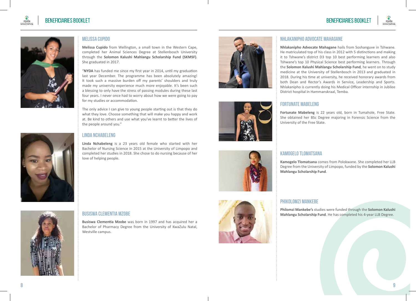





## **Melissa Cupido**

**Melissa Cupido** from Wellington, a small town in the Western Cape, completed her Animal Sciences Degree at Stellenbosch University through the **Solomon Kalushi Mahlangu Scholarship Fund (SKMSF)**. She graduated in 2017.

"**NYDA** has funded me since my first year in 2014, until my graduation last year December. The programme has been absolutely amazing! It took such a massive burden off my parents' shoulders and truly made my university experience much more enjoyable. It's been such a blessing to only have the stress of passing modules during these last four years. I never once had to worry about how we were going to pay for my studies or accommodation.

The only advice I can give to young people starting out is that they do what they love. Choose something that will make you happy and work at. Be kind to others and use what you've learnt to better the lives of the people around you."

### **Linda Nchabeleng**

**Linda Nchabeleng** is a 23 years old female who started with her Bachelor of Nursing Science in 2015 at the University of Limpopo and completed her studies in 2018. She chose to do nursing because of her love of helping people.









**Nhlakanipho Advocate Mahagane** hails from Soshanguve in Tshwane. He matriculated top of his class in 2012 with 5 distinctions and making it to Tshwane's district D3 top 10 best performing learners and also Tshwane's top 10 Physical Science best performing learners. Through the **Solomon Kalushi Mahlangu Scholarship Fund**, he went on to study medicine at the University of Stellenbosch in 2013 and graduated in 2018. During his time at university, he received honorary awards from both Dean and Rector's Awards in Service, Leadership and Sports. Nhlakanipho is currently doing his Medical Officer internship in Jubilee District hospital in Hammanskraal, Temba.

## **Fortunate Mabeleng**

**Fortunate Mabeleng** is 22 years old, born in Tumahole, Free State. She obtained her BSc Degree majoring in Forensic Science from the University of the Free State.

## **Kamogelo Tlomatsana**

**Kamogelo Tlomatsana** comes from Polokwane. She completed her LLB Degree from the University of Limpopo, funded by the **Solomon Kalushi Mahlangu Scholarship Fund**.



**Philomzi Mankebe's** studies were funded through the **Solomon Kalushi Mahlangu Scholarship Fund**. He has completed his 4-year LLB Degree.





**Busiswa Clementia Mzobe** was born in 1997 and has acquired her a Bachelor of Pharmacy Degree from the University of KwaZulu Natal, Westville campus.

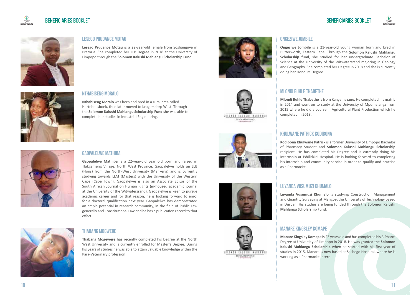

**Ongeziwe Jombile** is a 21-year-old young woman born and bred in Butterworth, Eastern Cape. Through the **Solomon Kalushi Mahlangu Scholarship fund**, she studied for her undergraduate Bachelor of Science at the University of the Witwatersrand majoring in Geology and Geography. She completed her Degree in 2018 and she is currently

**Mlondi Buhle Thabethe** is from Kanyamazane. He completed his matric in 2014 and went on to study at the University of Mpumalanga from 2015 where he did a course in Agricultural Plant Production which he





## **Lesego Prudance Motau**

**Lesego Prudance Motau** is a 22-year-old female from Soshanguve in Pretoria. She completed her LLB Degree in 2018 at the University of Limpopo through the **Solomon Kalushi Mahlangu Scholarship Fund**.



**Nthabiseng Moralo** was born and bred in a rural area called Hartebeesboek, then later moved to Krugersdorp West. Through the **Solomon Kalushi Mahlangu Scholarship Fund** she was able to complete her studies in Industrial Engineering.







## **Khulwane Patrick Kodibona**

**Ongeziwe Jombile**

doing her Honours Degree.

**Mlondi Buhle Thabethe**

completed in 2018.

**Kodibona Khulwane Patrick** is a former University of Limpopo Bachelor of Pharmacy Student and **Solomon Kalushi Mahlangu Scholarship**  recipient. He has completed his Degree and is currently doing his internship at Tshilidzini Hospital. He is looking forward to completing his internship and community service in order to qualify and practise as a Pharmacist.





# **Luyanda Vusumuzi Khumalo**

**Luyanda Vusumuzi Khumalo** is studying Construction Management and Quantity Surveying at Mangosuthu University of Technology based in Durban. His studies are being funded through the **Solomon Kalushi Mahlangu Scholarship Fund**.

## **Manare Kingsley Komape**

**Manare Kingsley Komape** is 23 years old and has completed his B.Pharm Degree at University of Limpopo in 2018. He was granted the **Solomon Kalushi Mahlangu Scholarship** when he started with his first year of studies in 2015. Manare is now based at Seshego Hospital, where he is working as a Pharmacist Intern.





## **Gaopalelwe Mathiba**

**Gaopalelwe Mathiba** is a 22-year-old year old born and raised in Tlakgameng Village, North West Province. Gaopalelwe holds an LLB (Hons) from the North-West University (Mafikeng) and is currently studying towards LLM (Masters) with the University of the Western Cape (Cape Town). Gaopalelwe is also an Associate Editor of the South African Journal on Human Rights (in-housed academic journal at the University of the Witwatersrand). Gaopalelwe is keen to pursue academic career and for that reason, he is looking forward to enrol for a doctoral qualification next year. Gaopalelwe has demonstrated an ample potential in research community, in the field of Public Law generally and Constitutional Law and he has a publication record to that effect.



## **Thabang Mogwere**

**Thabang Mogewere** has recently completed his Degree at the North West University and is currently enrolled for Master's Degree. During his years of studies he was able to attain valuable knowledge within the Para-Veterinary profession.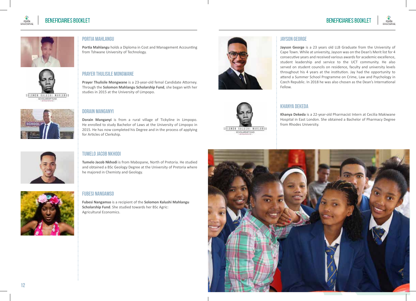

# **BENEFICIARIES BOOKLET**









# **Dorain Manganyi**

**Portia Mahlangu**

from Tshwane University of Technology.

studies in 2015 at the University of Limpopo.

**Prayer Thulisile Mongwane**

**Dorain Manganyi** is from a rural village of Tickyline in Limpopo. He enrolled to study Bachelor of Laws at the University of Limpopo in 2015. He has now completed his Degree and in the process of applying for Articles of Clerkship.

**Portia Mahlangu** holds a Diploma in Cost and Management Accounting

**Prayer Thulisile Mongwane** is a 23-year-old femal Candidate Attorney. Through the **Solomon Mahlangu Scholarship Fund**, she began with her



# **Tumelo Jacob Nkhodi**

**Tumelo Jacob Nkhodi** is from Mabopane, North of Pretoria. He studied and obtained a BSc Geology Degree at the University of Pretoria where he majored in Chemisty and Geology.



## **Fubesi Nangamso**

**Fubesi Nangamso** is a recipient of the **Solomon Kalushi Mahlangu Scholarship Fund**. She studied towards her BSc Agric: Agricultural Economics.



# SOLOMON KALUSHI MAHLANGU SCHOLARSHIP FUND

# **Jayson George**

**Jayson George** is a 23 years old LLB Graduate from the University of Cape Town. While at university, Jayson was on the Dean's Merit list for 4 consecutive years and received various awards for academic excellence, student leadership and service to the UCT community. He also served on student councils on residence, faculty and university levels throughout his 4 years at the institution. Jay had the opportunity to attend a Summer School Programme on Crime, Law and Psychology in Czech Republic. In 2018 he was also chosen as the Dean's International Fellow.

# **Khanya Dekeda**

**Khanya Dekeda** is a 22-year-old Pharmacist Intern at Cecilia Makiwane Hospital in East London. She obtained a Bachelor of Pharmacy Degree from Rhodes University.

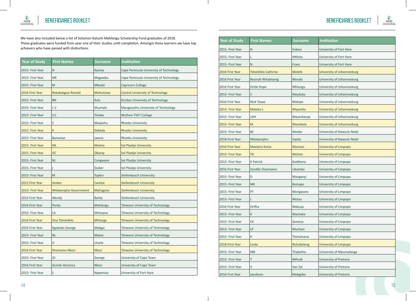

**BENEFICIARIES BOOKLET** 

nyda

We have also included below a list of Solomon Kalushi Mahlangu Scholarship Fund graduates of 2018. These graduates were funded from year one of their studies until completion. Amongst these learners we have top achievers who have passed with distinctions.

| <b>Year of Study</b> | <b>First Names</b>      | Surname       | <b>Institution</b>                      |
|----------------------|-------------------------|---------------|-----------------------------------------|
| 2015- First Year     | N                       | Kaziwa        | Cape Peninsula University of Technology |
| 2015- First Year     | <b>ME</b>               | Magwebu       | Cape Peninsula University of Technology |
| 2015- First Year     | M                       | Mbedzi        | Capricorn College                       |
| 2016 First Year      | Rebakakgosi Ronald      | Mohutsiwa     | <b>Central University of Technology</b> |
| 2015- First Year     | <b>BN</b>               | Xulu          | Durban University of Technology         |
| 2015- First Year     | L V                     | Khumalo       | Mangosuthu University of Technology     |
| 2015- First Year     | S.C                     | <b>Tshaka</b> | Motheo TVET College                     |
| 2015- First Year     | C                       | Magashu       | <b>Rhodes University</b>                |
| 2015- First Year     | K                       | <b>Dekeda</b> | <b>Rhodes University</b>                |
| 2015- First Year     | Bamanye                 | Lwana         | <b>Rhodes University</b>                |
| 2015- First Year     | <b>ML</b>               | Moleta        | Sol Plaatje University                  |
| 2015- First Year     | <b>OC</b>               | Obaray        | <b>Sol Plaatje University</b>           |
| 2015- First Year     | NJ                      | Congwane      | Sol Plaatje University                  |
| 2015- First Year     |                         | <b>Duiker</b> | Sol Plaatje University                  |
| 2015- First Year     | M                       | <b>Topkin</b> | <b>Stellenbosch University</b>          |
| 2013 First Year      | Amber                   | Carelse       | <b>Stellenbosch University</b>          |
| 2013- First Year     | Nhlakanipho Government  | Mahagane      | <b>Stellenbosch University</b>          |
| 2014 First Year      | Wendy                   | <b>Bailey</b> | <b>Stellenbosch University</b>          |
| 2016 First Year      | Portia                  | Mahlangu      | Tshwane University of Technology        |
| 2015- First Year     | LA                      | Skhosana      | Tshwane University of Technology        |
| 2016 First Year      | One Tsholofelo          | Mhlanga       | Tshwane University of Technology        |
| 2016 First Year      | Kgoboko George          | Makgai        | Tshwane University of Technology        |
| 2015- First Year     | <b>NL</b>               | Matee         | Tshwane University of Technology        |
| 2015- First Year     | O                       | Litsele       | Tshwane University of Technology        |
| 2016 First Year      | <b>Khomotso Nkosi</b>   | <b>Nkosi</b>  | Tshwane University of Technology        |
| 2015- First Year     | JD                      | George        | University of Cape Town                 |
| 2016 First Year      | <b>Gcinile Veronica</b> | <b>Nkosi</b>  | University of Cape Town                 |
| 2015- First Year     | S                       | Nqweniso      | University of Fort Hare                 |

 $\overline{\phantom{a}}$ 

| <b>Year of Study</b> | <b>First Names</b>         | <b>Surname</b> | Institution                 |
|----------------------|----------------------------|----------------|-----------------------------|
| 2015- First Year     | N                          | Fubesi         | University of Fort Hare     |
| 2015- First Year     | L                          | Mthelu         | University of Fort Hare     |
| 2015- First Year     | N                          | Frans          | University of Fort Hare     |
| 2016 First Year      | <b>Tsholofelo Cathrine</b> | <b>Molefe</b>  | University of Johannesburg  |
| 2016 First Year      | Rosinah Nthabiseng         | Moralo         | University of Johannesburg  |
| 2016 First Year      | Zintle Hope                | Mhlungu        | University of Johannesburg  |
| 2015- First Year     | S                          | Nduduka        | University of Johannesburg  |
| 2016 First Year      | Nick Tsepo                 | Malope         | University of Johannesburg  |
| 2015- First Year     | Malebo L                   | Miyambu        | University of Johannesburg  |
| 2015- First Year     | LDH                        | Masenkanye     | University of Johannesburg  |
| 2015- First Year     | M                          | Ntombela       | University of Johannesburg  |
| 2015- First Year     | <b>BC</b>                  | Mzobe          | University of Kwazulu Natal |
| 2018-First Year      | Nhlakanipho                | Cwele          | University of Kwazulu Natal |
| 2016 First Year      | Moeletsi Kotse             | <b>Moroasi</b> | University of Limpopo       |
| 2015- First Year     | <b>TG</b>                  | Moloto         | University of Limpopo       |
| 2015- First Year     | <b>K Patrick</b>           | Kodibona       | University of Limpopo       |
| 2016 First Year      | Zandile Charmaine          | Libambo        | University of Limpopo       |
| 2015- First Year     | D                          | Manganyi       | University of Limpopo       |
| 2015- First Year     | <b>MK</b>                  | Komape         | University of Limpopo       |
| 2015- First Year     | PT                         | Mongwane       | University of Limpopo       |
| 2015- First Year     | L                          | Motau          | University of Limpopo       |
| 2016 First Year      | Orifha                     | Makuya         | University of Limpopo       |
| 2015- First Year     | Κ                          | Machaka        | University of Limpopo       |
| 2015- First Year     | СK                         | Semosa         | University of Limpopo       |
| 2015- First Year     | LP                         | Muchavi        | University of Limpopo       |
| 2015- First Year     | К                          | Tlomatsana     | University of Limpopo       |
| 2018-First Year      | Linda                      | Nchabeleng     | University of Limpopo       |
| 2015- First Year     | <b>MB</b>                  | Thabethe       | University of Mpumalanga    |
| 2015- First Year     | т                          | Nkhodi         | University of Pretoria      |
| 2015- First Year     | V                          | Van Zyl        | University of Pretoria      |
| 2016 First Year      | Jacobson                   | Mokgoko        | University of Pretoria      |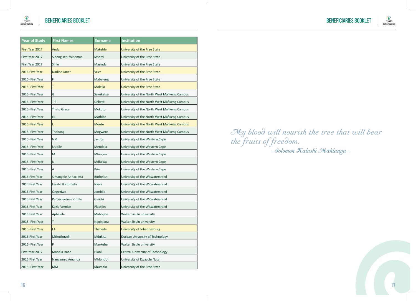

e′<br>nyda

| <b>Year of Study</b> | <b>First Names</b>   | <b>Surname</b>   | <b>Institution</b>                           |
|----------------------|----------------------|------------------|----------------------------------------------|
| First Year 2017      | Anda                 | <b>Makehle</b>   | University of the Free State                 |
| First Year 2017      | Sibongiseni Wiseman  | <b>Msomi</b>     | University of the Free State                 |
| First Year 2017      | Sihle                | Masinda          | University of the Free State                 |
| 2016 First Year      | <b>Nadine Janet</b>  | <b>Vries</b>     | University of the Free State                 |
| 2015- First Year     | F                    | Mabeleng         | University of the Free State                 |
| 2015- First Year     | T                    | <b>Moleko</b>    | University of the Free State                 |
| 2015- First Year     | G                    | Sekuketse        | University of the North West Mafikeng Campus |
| 2015- First Year     | T <sub>E</sub>       | Debete           | University of the North West Mafikeng Campus |
| 2015- First Year     | <b>Thato Grace</b>   | Mokoto           | University of the North West Mafikeng Campus |
| 2015- First Year     | GL                   | Mathiba          | University of the North West Mafikeng Campus |
| 2015- First Year     | L                    | Moote            | University of the North West Mafikeng Campus |
| 2015- First Year     | Thabang              | Mogwere          | University of the North West Mafikeng Campus |
| 2015- First Year     | <b>NM</b>            | Jacobs           | University of the Western Cape               |
| 2015- First Year     | Usipile              | Mendela          | University of the Western Cape               |
| 2015- First Year     | M                    | Mlunjwa          | University of the Western Cape               |
| 2015- First Year     | N                    | Mdlulwa          | University of the Western Cape               |
| 2015- First Year     | A                    | Pike             | University of the Western Cape               |
| 2016 First Year      | Simangele Annacletta | <b>Buthelezi</b> | University of the Witwatersrand              |
| 2016 First Year      | Lerato Boitomelo     | <b>Nkala</b>     | University of the Witwatersrand              |
| 2016 First Year      | Ongeziwe             | Jombile          | University of the Witwatersrand              |
| 2016 First Year      | Percevierence Zinhle | Ginidzi          | University of the Witwatersrand              |
| 2016 First Year      | Kezia Vernice        | Plaatjies        | University of the Witwatersrand              |
| 2016 First Year      | Aphelele             | Mabophe          | Walter Sisulu university                     |
| 2015- First Year     | T                    | Ngginjana        | Walter Sisulu university                     |
| 2015- First Year     | LA                   | <b>Thabede</b>   | University of Johannesburg                   |
| 2016 First Year      | Mthuthuzeli          | Mdukisa          | Durban University of Technology              |
| 2015- First Year     | P                    | Mankebe          | Walter Sisulu university                     |
| First Year 2017      | Mandla Isaac         | Hlaoli           | Central University of Technology             |
| 2016 First Year      | Nangamso Amanda      | Mhlontlo         | University of Kwazulu Natal                  |
| 2015- First Year     | <b>MM</b>            | Khumalo          | University of the Free State                 |

 $\mathbf{I}$ 

My blood will nourish the tree that will bear the fruits of freedom. - Solomon Kalushi Mahlangu -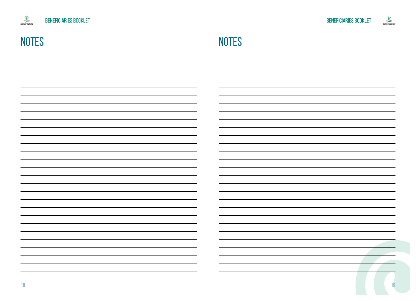



# NOTES NOTES

 $\mathbf{I}$ 

 $\mathbf{I}$